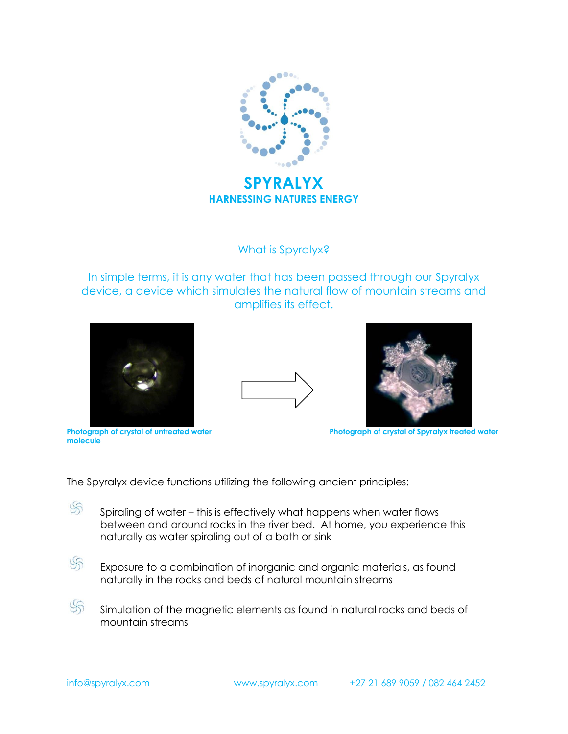

What is Spyralyx?

In simple terms, it is any water that has been passed through our Spyralyx device, a device which simulates the natural flow of mountain streams and amplifies its effect.







Photograph of crystal of untreated water **molecule**

Photograph of crystal of Spyralyx treated water

The Spyralyx device functions utilizing the following ancient principles:

- S Spiraling of water – this is effectively what happens when water flows between and around rocks in the river bed. At home, you experience this naturally as water spiraling out of a bath or sink
- $\mathcal{S}$ Exposure to a combination of inorganic and organic materials, as found naturally in the rocks and beds of natural mountain streams
- $\mathcal{S}_{\Omega}$ Simulation of the magnetic elements as found in natural rocks and beds of mountain streams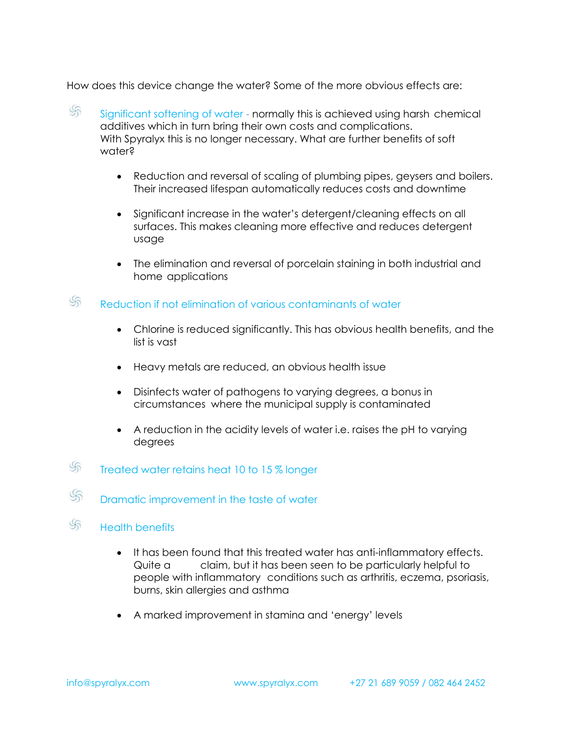How does this device change the water? Some of the more obvious effects are:

- $\mathcal{S}_{\Omega}$ Significant softening of water - normally this is achieved using harsh chemical additives which in turn bring their own costs and complications. With Spyralyx this is no longer necessary. What are further benefits of soft water?
	- Reduction and reversal of scaling of plumbing pipes, geysers and boilers. Their increased lifespan automatically reduces costs and downtime
	- Significant increase in the water's detergent/cleaning effects on all surfaces. This makes cleaning more effective and reduces detergent usage
	- The elimination and reversal of porcelain staining in both industrial and home applications
- $\mathcal{S}_{\mathbb{R}}$ Reduction if not elimination of various contaminants of water
	- Chlorine is reduced significantly. This has obvious health benefits, and the list is vast
	- Heavy metals are reduced, an obvious health issue
	- Disinfects water of pathogens to varying degrees, a bonus in circumstances where the municipal supply is contaminated
	- A reduction in the acidity levels of water i.e. raises the pH to varying degrees
- $\mathbb{S}_{\mathbb{D}}$ Treated water retains heat 10 to 15 % longer
- $\mathcal{S}$ Dramatic improvement in the taste of water
- $\mathcal{S}$ Health benefits
	- It has been found that this treated water has anti-inflammatory effects. Quite a claim, but it has been seen to be particularly helpful to people with inflammatory conditions such as arthritis, eczema, psoriasis, burns, skin allergies and asthma
	- A marked improvement in stamina and 'energy' levels